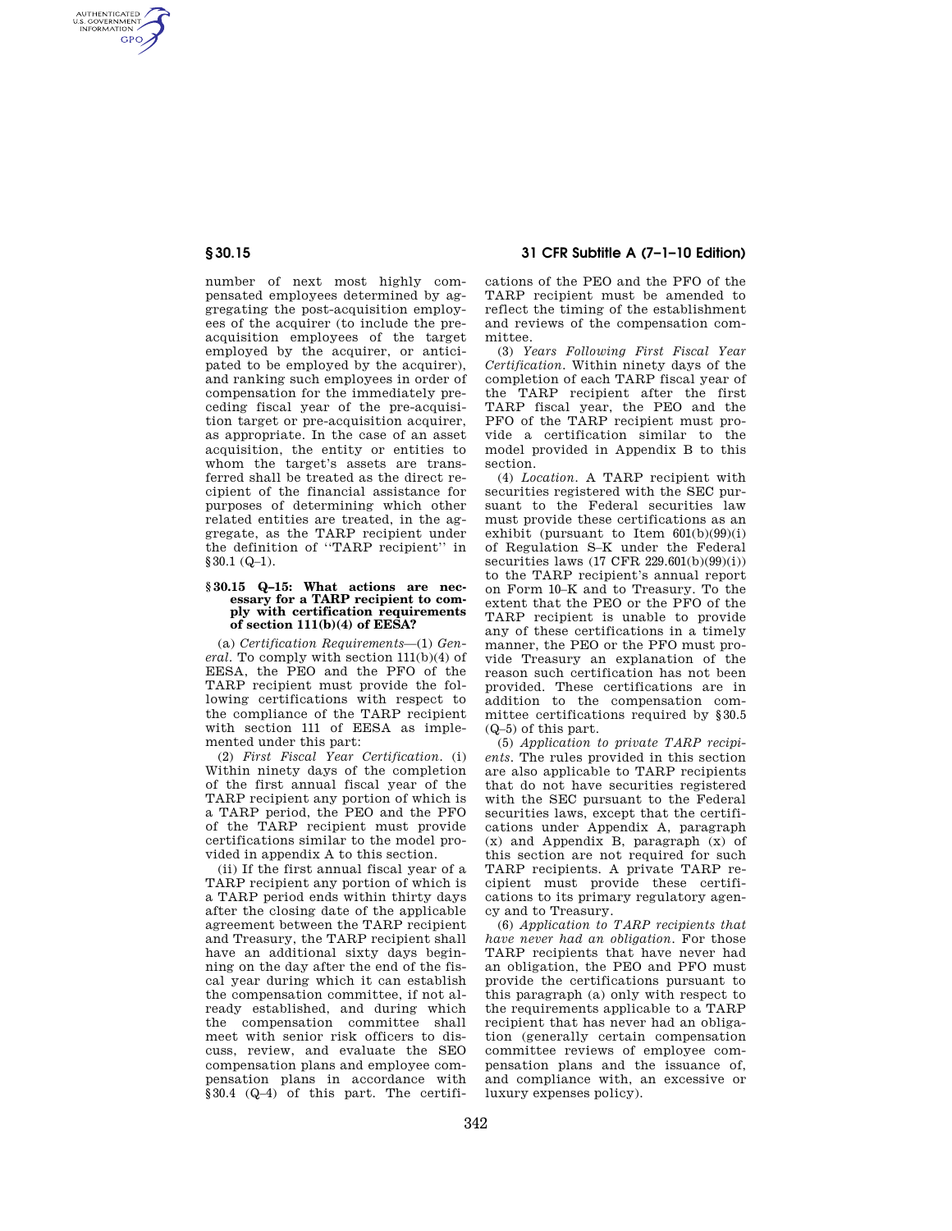AUTHENTICATED<br>U.S. GOVERNMENT<br>INFORMATION **GPO** 

> number of next most highly compensated employees determined by aggregating the post-acquisition employees of the acquirer (to include the preacquisition employees of the target employed by the acquirer, or anticipated to be employed by the acquirer), and ranking such employees in order of compensation for the immediately preceding fiscal year of the pre-acquisition target or pre-acquisition acquirer, as appropriate. In the case of an asset acquisition, the entity or entities to whom the target's assets are transferred shall be treated as the direct recipient of the financial assistance for purposes of determining which other related entities are treated, in the aggregate, as the TARP recipient under the definition of ''TARP recipient'' in §30.1 (Q–1).

### **§ 30.15 Q–15: What actions are necessary for a TARP recipient to comply with certification requirements of section 111(b)(4) of EESA?**

(a) *Certification Requirements*—(1) *General.* To comply with section 111(b)(4) of EESA, the PEO and the PFO of the TARP recipient must provide the following certifications with respect to the compliance of the TARP recipient with section 111 of EESA as implemented under this part:

(2) *First Fiscal Year Certification.* (i) Within ninety days of the completion of the first annual fiscal year of the TARP recipient any portion of which is a TARP period, the PEO and the PFO of the TARP recipient must provide certifications similar to the model provided in appendix A to this section.

(ii) If the first annual fiscal year of a TARP recipient any portion of which is a TARP period ends within thirty days after the closing date of the applicable agreement between the TARP recipient and Treasury, the TARP recipient shall have an additional sixty days beginning on the day after the end of the fiscal year during which it can establish the compensation committee, if not already established, and during which the compensation committee shall meet with senior risk officers to discuss, review, and evaluate the SEO compensation plans and employee compensation plans in accordance with §30.4 (Q–4) of this part. The certifi-

**§ 30.15 31 CFR Subtitle A (7–1–10 Edition)** 

cations of the PEO and the PFO of the TARP recipient must be amended to reflect the timing of the establishment and reviews of the compensation committee.

(3) *Years Following First Fiscal Year Certification.* Within ninety days of the completion of each TARP fiscal year of the TARP recipient after the first TARP fiscal year, the PEO and the PFO of the TARP recipient must provide a certification similar to the model provided in Appendix B to this section.

(4) *Location.* A TARP recipient with securities registered with the SEC pursuant to the Federal securities law must provide these certifications as an exhibit (pursuant to Item  $601(b)(99)(i)$ of Regulation S–K under the Federal securities laws (17 CFR 229.601(b)(99)(i)) to the TARP recipient's annual report on Form 10–K and to Treasury. To the extent that the PEO or the PFO of the TARP recipient is unable to provide any of these certifications in a timely manner, the PEO or the PFO must provide Treasury an explanation of the reason such certification has not been provided. These certifications are in addition to the compensation committee certifications required by §30.5 (Q–5) of this part.

(5) *Application to private TARP recipients*. The rules provided in this section are also applicable to TARP recipients that do not have securities registered with the SEC pursuant to the Federal securities laws, except that the certifications under Appendix A, paragraph (x) and Appendix B, paragraph (x) of this section are not required for such TARP recipients. A private TARP recipient must provide these certifications to its primary regulatory agency and to Treasury.

(6) *Application to TARP recipients that have never had an obligation.* For those TARP recipients that have never had an obligation, the PEO and PFO must provide the certifications pursuant to this paragraph (a) only with respect to the requirements applicable to a TARP recipient that has never had an obligation (generally certain compensation committee reviews of employee compensation plans and the issuance of, and compliance with, an excessive or luxury expenses policy).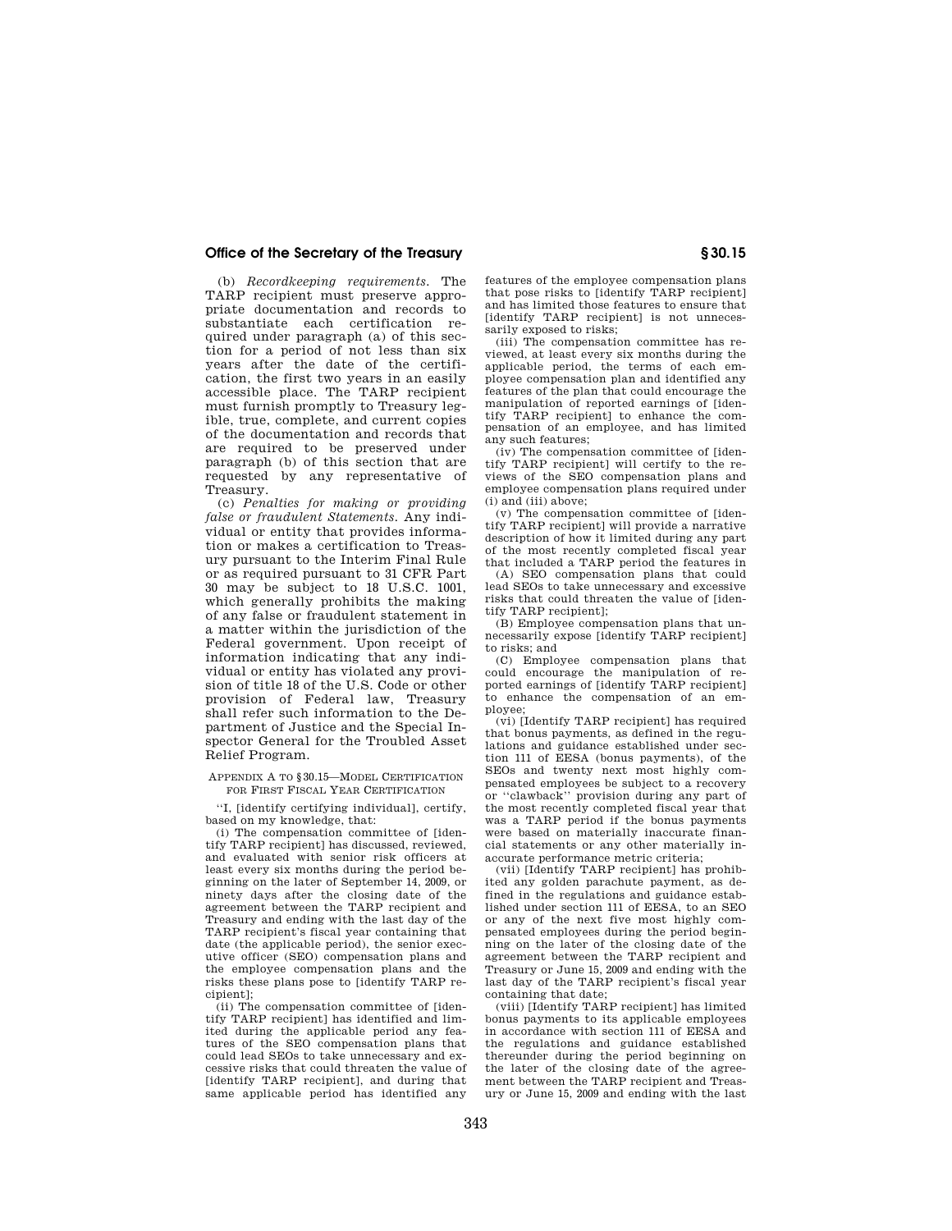## **Office of the Secretary of the Treasury § 30.15**

(b) *Recordkeeping requirements.* The TARP recipient must preserve appropriate documentation and records to substantiate each certification required under paragraph (a) of this section for a period of not less than six years after the date of the certification, the first two years in an easily accessible place. The TARP recipient must furnish promptly to Treasury legible, true, complete, and current copies of the documentation and records that are required to be preserved under paragraph (b) of this section that are requested by any representative of Treasury.

(c) *Penalties for making or providing false or fraudulent Statements.* Any individual or entity that provides information or makes a certification to Treasury pursuant to the Interim Final Rule or as required pursuant to 31 CFR Part 30 may be subject to 18 U.S.C. 1001, which generally prohibits the making of any false or fraudulent statement in a matter within the jurisdiction of the Federal government. Upon receipt of information indicating that any individual or entity has violated any provision of title 18 of the U.S. Code or other provision of Federal law, Treasury shall refer such information to the Department of Justice and the Special Inspector General for the Troubled Asset Relief Program.

#### APPENDIX A TO §30.15—MODEL CERTIFICATION FOR FIRST FISCAL YEAR CERTIFICATION

''I, [identify certifying individual], certify, based on my knowledge, that:

(i) The compensation committee of [identify TARP recipient] has discussed, reviewed, and evaluated with senior risk officers at least every six months during the period beginning on the later of September 14, 2009, or ninety days after the closing date of the agreement between the TARP recipient and Treasury and ending with the last day of the TARP recipient's fiscal year containing that date (the applicable period), the senior executive officer (SEO) compensation plans and the employee compensation plans and the risks these plans pose to [identify TARP recipient];

(ii) The compensation committee of [identify TARP recipient] has identified and limited during the applicable period any features of the SEO compensation plans that could lead SEOs to take unnecessary and excessive risks that could threaten the value of [identify TARP recipient], and during that same applicable period has identified any

features of the employee compensation plans that pose risks to [identify TARP recipient] and has limited those features to ensure that [identify TARP recipient] is not unnecessarily exposed to risks;

(iii) The compensation committee has reviewed, at least every six months during the applicable period, the terms of each employee compensation plan and identified any features of the plan that could encourage the manipulation of reported earnings of [identify TARP recipient] to enhance the compensation of an employee, and has limited any such features;

(iv) The compensation committee of [identify TARP recipient] will certify to the reviews of the SEO compensation plans and employee compensation plans required under (i) and (iii) above;

(v) The compensation committee of [identify TARP recipient] will provide a narrative description of how it limited during any part of the most recently completed fiscal year that included a TARP period the features in

(A) SEO compensation plans that could lead SEOs to take unnecessary and excessive risks that could threaten the value of [identify TARP recipient];

(B) Employee compensation plans that unnecessarily expose [identify TARP recipient] to risks; and

(C) Employee compensation plans that could encourage the manipulation of reported earnings of [identify TARP recipient] to enhance the compensation of an employee;

(vi) [Identify TARP recipient] has required that bonus payments, as defined in the regulations and guidance established under section 111 of EESA (bonus payments), of the SEOs and twenty next most highly compensated employees be subject to a recovery or ''clawback'' provision during any part of the most recently completed fiscal year that was a TARP period if the bonus payments were based on materially inaccurate financial statements or any other materially inaccurate performance metric criteria;

(vii) [Identify TARP recipient] has prohibited any golden parachute payment, as defined in the regulations and guidance established under section 111 of EESA, to an SEO or any of the next five most highly compensated employees during the period beginning on the later of the closing date of the agreement between the TARP recipient and Treasury or June 15, 2009 and ending with the last day of the TARP recipient's fiscal year containing that date;

(viii) [Identify TARP recipient] has limited bonus payments to its applicable employees in accordance with section 111 of EESA and the regulations and guidance established thereunder during the period beginning on the later of the closing date of the agreement between the TARP recipient and Treasury or June 15, 2009 and ending with the last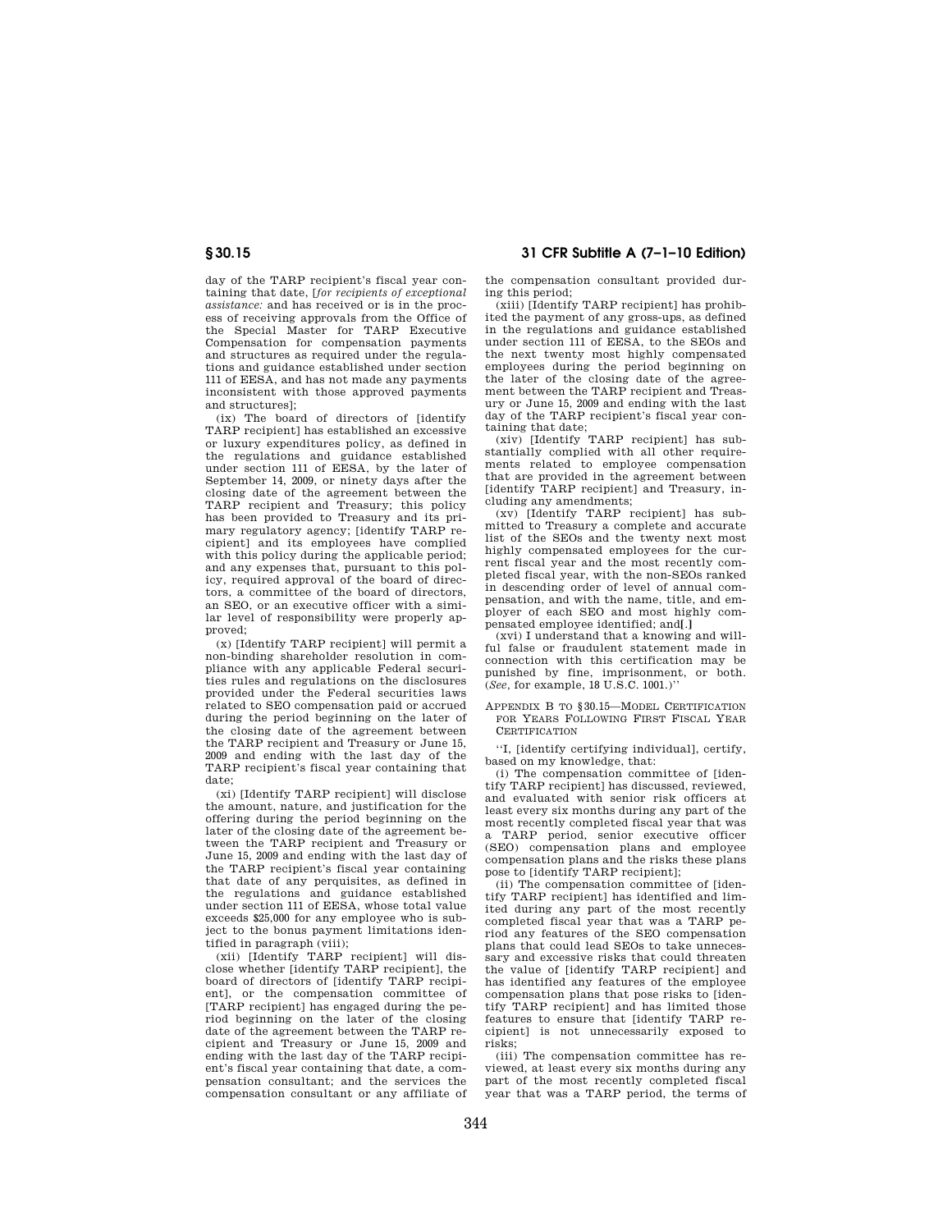day of the TARP recipient's fiscal year containing that date, [*for recipients of exceptional assistance:* and has received or is in the process of receiving approvals from the Office of the Special Master for TARP Executive Compensation for compensation payments and structures as required under the regulations and guidance established under section 111 of EESA, and has not made any payments inconsistent with those approved payments and structures];

(ix) The board of directors of [identify TARP recipient] has established an excessive or luxury expenditures policy, as defined in the regulations and guidance established under section 111 of EESA, by the later of September 14, 2009, or ninety days after the closing date of the agreement between the TARP recipient and Treasury; this policy has been provided to Treasury and its primary regulatory agency; [identify TARP recipient] and its employees have complied with this policy during the applicable period; and any expenses that, pursuant to this policy, required approval of the board of directors, a committee of the board of directors, an SEO, or an executive officer with a similar level of responsibility were properly approved;

(x) [Identify TARP recipient] will permit a non-binding shareholder resolution in compliance with any applicable Federal securities rules and regulations on the disclosures provided under the Federal securities laws related to SEO compensation paid or accrued during the period beginning on the later of the closing date of the agreement between the TARP recipient and Treasury or June 15, 2009 and ending with the last day of the TARP recipient's fiscal year containing that date;

(xi) [Identify TARP recipient] will disclose the amount, nature, and justification for the offering during the period beginning on the later of the closing date of the agreement between the TARP recipient and Treasury or June 15, 2009 and ending with the last day of the TARP recipient's fiscal year containing that date of any perquisites, as defined in the regulations and guidance established under section 111 of EESA, whose total value exceeds \$25,000 for any employee who is subject to the bonus payment limitations identified in paragraph (viii);

(xii) [Identify TARP recipient] will disclose whether [identify TARP recipient], the board of directors of [identify TARP recipient], or the compensation committee of [TARP recipient] has engaged during the period beginning on the later of the closing date of the agreement between the TARP recipient and Treasury or June 15, 2009 and ending with the last day of the TARP recipient's fiscal year containing that date, a compensation consultant; and the services the compensation consultant or any affiliate of

**§ 30.15 31 CFR Subtitle A (7–1–10 Edition)** 

the compensation consultant provided during this period;

(xiii) [Identify TARP recipient] has prohibited the payment of any gross-ups, as defined in the regulations and guidance established under section 111 of EESA, to the SEOs and the next twenty most highly compensated employees during the period beginning on the later of the closing date of the agreement between the TARP recipient and Treasury or June 15, 2009 and ending with the last day of the TARP recipient's fiscal year containing that date;

(xiv) [Identify TARP recipient] has substantially complied with all other requirements related to employee compensation that are provided in the agreement between [identify TARP recipient] and Treasury, including any amendments;

(xv) [Identify TARP recipient] has submitted to Treasury a complete and accurate list of the SEOs and the twenty next most highly compensated employees for the current fiscal year and the most recently completed fiscal year, with the non-SEOs ranked in descending order of level of annual compensation, and with the name, title, and employer of each SEO and most highly compensated employee identified; and**[**.**]** 

(xvi) I understand that a knowing and willful false or fraudulent statement made in connection with this certification may be punished by fine, imprisonment, or both. (*See,* for example, 18 U.S.C. 1001.)''

APPENDIX B TO §30.15—MODEL CERTIFICATION FOR YEARS FOLLOWING FIRST FISCAL YEAR CERTIFICATION

''I, [identify certifying individual], certify, based on my knowledge, that:

(i) The compensation committee of [identify TARP recipient] has discussed, reviewed, and evaluated with senior risk officers at least every six months during any part of the most recently completed fiscal year that was TARP period, senior executive officer (SEO) compensation plans and employee compensation plans and the risks these plans pose to [identify TARP recipient];

(ii) The compensation committee of [identify TARP recipient] has identified and limited during any part of the most recently completed fiscal year that was a TARP period any features of the SEO compensation plans that could lead SEOs to take unnecessary and excessive risks that could threaten the value of [identify TARP recipient] and has identified any features of the employee compensation plans that pose risks to [identify TARP recipient] and has limited those features to ensure that [identify TARP recipient] is not unnecessarily exposed to risks;

(iii) The compensation committee has reviewed, at least every six months during any part of the most recently completed fiscal year that was a TARP period, the terms of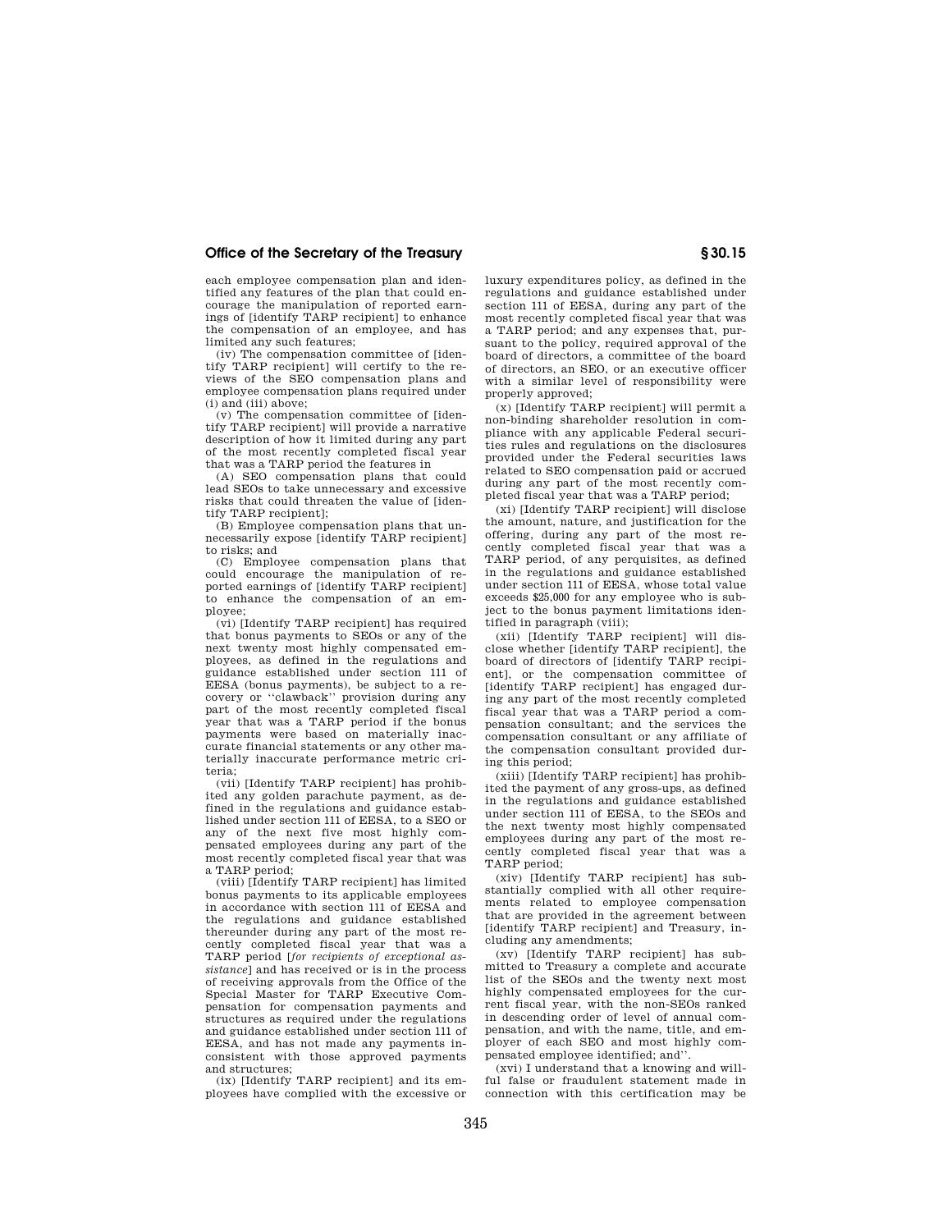## **Office of the Secretary of the Treasury § 30.15**

each employee compensation plan and identified any features of the plan that could encourage the manipulation of reported earnings of [identify TARP recipient] to enhance the compensation of an employee, and has limited any such features;

(iv) The compensation committee of [identify TARP recipient] will certify to the reviews of the SEO compensation plans and employee compensation plans required under (i) and (iii) above;

(v) The compensation committee of [identify TARP recipient] will provide a narrative description of how it limited during any part of the most recently completed fiscal year that was a TARP period the features in

(A) SEO compensation plans that could lead SEOs to take unnecessary and excessive risks that could threaten the value of [identify TARP recipient];

(B) Employee compensation plans that unnecessarily expose [identify TARP recipient] to risks; and

(C) Employee compensation plans that could encourage the manipulation of reported earnings of [identify TARP recipient] to enhance the compensation of an employee;

(vi) [Identify TARP recipient] has required that bonus payments to SEOs or any of the next twenty most highly compensated employees, as defined in the regulations and guidance established under section 111 of EESA (bonus payments), be subject to a recovery or ''clawback'' provision during any part of the most recently completed fiscal year that was a TARP period if the bonus payments were based on materially inaccurate financial statements or any other materially inaccurate performance metric criteria;

(vii) [Identify TARP recipient] has prohibited any golden parachute payment, as defined in the regulations and guidance established under section 111 of EESA, to a SEO or any of the next five most highly compensated employees during any part of the most recently completed fiscal year that was a TARP period;

(viii) [Identify TARP recipient] has limited bonus payments to its applicable employees in accordance with section 111 of EESA and the regulations and guidance established thereunder during any part of the most recently completed fiscal year that was a TARP period [*for recipients of exceptional assistance*] and has received or is in the process of receiving approvals from the Office of the Special Master for TARP Executive Compensation for compensation payments and structures as required under the regulations and guidance established under section 111 of EESA, and has not made any payments inconsistent with those approved payments and structures;

(ix) [Identify TARP recipient] and its employees have complied with the excessive or luxury expenditures policy, as defined in the regulations and guidance established under section 111 of EESA, during any part of the most recently completed fiscal year that was a TARP period; and any expenses that, pursuant to the policy, required approval of the board of directors, a committee of the board of directors, an SEO, or an executive officer with a similar level of responsibility were properly approved;

(x) [Identify TARP recipient] will permit a non-binding shareholder resolution in compliance with any applicable Federal securities rules and regulations on the disclosures provided under the Federal securities laws related to SEO compensation paid or accrued during any part of the most recently completed fiscal year that was a TARP period;

(xi) [Identify TARP recipient] will disclose the amount, nature, and justification for the offering, during any part of the most recently completed fiscal year that was a TARP period, of any perquisites, as defined in the regulations and guidance established under section 111 of EESA, whose total value exceeds \$25,000 for any employee who is subject to the bonus payment limitations identified in paragraph (viii);

(xii) [Identify TARP recipient] will disclose whether [identify TARP recipient], the board of directors of [identify TARP recipient], or the compensation committee of [identify TARP recipient] has engaged during any part of the most recently completed fiscal year that was a TARP period a compensation consultant; and the services the compensation consultant or any affiliate of the compensation consultant provided during this period;

(xiii) [Identify TARP recipient] has prohibited the payment of any gross-ups, as defined in the regulations and guidance established under section 111 of EESA, to the SEOs and the next twenty most highly compensated employees during any part of the most recently completed fiscal year that was a TARP period;

(xiv) [Identify TARP recipient] has substantially complied with all other requirements related to employee compensation that are provided in the agreement between [identify TARP recipient] and Treasury, including any amendments;

(xv) [Identify TARP recipient] has submitted to Treasury a complete and accurate list of the SEOs and the twenty next most highly compensated employees for the current fiscal year, with the non-SEOs ranked in descending order of level of annual compensation, and with the name, title, and employer of each SEO and most highly compensated employee identified; and''.

(xvi) I understand that a knowing and willful false or fraudulent statement made in connection with this certification may be